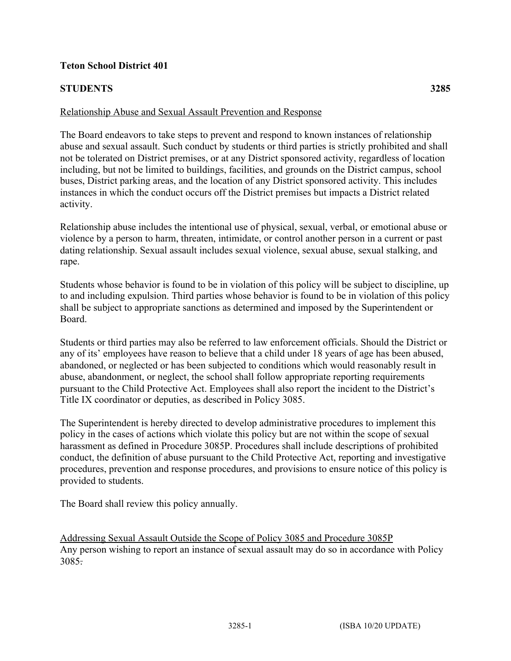## **Teton School District 401**

## **STUDENTS 3285**

## Relationship Abuse and Sexual Assault Prevention and Response

The Board endeavors to take steps to prevent and respond to known instances of relationship abuse and sexual assault. Such conduct by students or third parties is strictly prohibited and shall not be tolerated on District premises, or at any District sponsored activity, regardless of location including, but not be limited to buildings, facilities, and grounds on the District campus, school buses, District parking areas, and the location of any District sponsored activity. This includes instances in which the conduct occurs off the District premises but impacts a District related activity.

Relationship abuse includes the intentional use of physical, sexual, verbal, or emotional abuse or violence by a person to harm, threaten, intimidate, or control another person in a current or past dating relationship. Sexual assault includes sexual violence, sexual abuse, sexual stalking, and rape.

Students whose behavior is found to be in violation of this policy will be subject to discipline, up to and including expulsion. Third parties whose behavior is found to be in violation of this policy shall be subject to appropriate sanctions as determined and imposed by the Superintendent or Board.

Students or third parties may also be referred to law enforcement officials. Should the District or any of its' employees have reason to believe that a child under 18 years of age has been abused, abandoned, or neglected or has been subjected to conditions which would reasonably result in abuse, abandonment, or neglect, the school shall follow appropriate reporting requirements pursuant to the Child Protective Act. Employees shall also report the incident to the District's Title IX coordinator or deputies, as described in Policy 3085.

The Superintendent is hereby directed to develop administrative procedures to implement this policy in the cases of actions which violate this policy but are not within the scope of sexual harassment as defined in Procedure 3085P. Procedures shall include descriptions of prohibited conduct, the definition of abuse pursuant to the Child Protective Act, reporting and investigative procedures, prevention and response procedures, and provisions to ensure notice of this policy is provided to students.

The Board shall review this policy annually.

Addressing Sexual Assault Outside the Scope of Policy 3085 and Procedure 3085P Any person wishing to report an instance of sexual assault may do so in accordance with Policy 3085.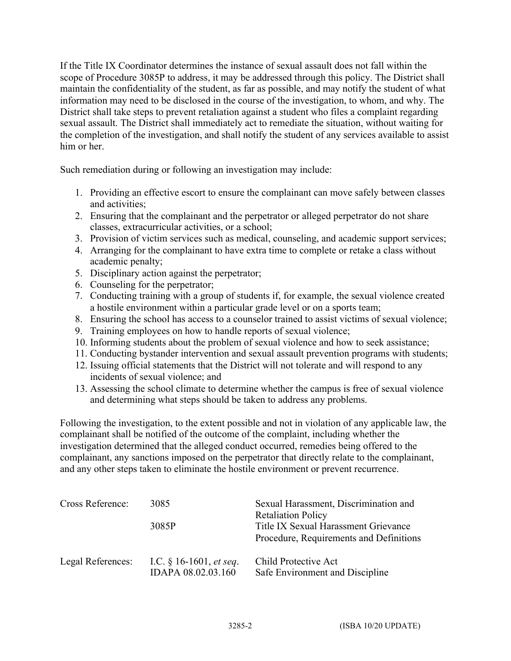If the Title IX Coordinator determines the instance of sexual assault does not fall within the scope of Procedure 3085P to address, it may be addressed through this policy. The District shall maintain the confidentiality of the student, as far as possible, and may notify the student of what information may need to be disclosed in the course of the investigation, to whom, and why. The District shall take steps to prevent retaliation against a student who files a complaint regarding sexual assault. The District shall immediately act to remediate the situation, without waiting for the completion of the investigation, and shall notify the student of any services available to assist him or her

Such remediation during or following an investigation may include:

- 1. Providing an effective escort to ensure the complainant can move safely between classes and activities;
- 2. Ensuring that the complainant and the perpetrator or alleged perpetrator do not share classes, extracurricular activities, or a school;
- 3. Provision of victim services such as medical, counseling, and academic support services;
- 4. Arranging for the complainant to have extra time to complete or retake a class without academic penalty;
- 5. Disciplinary action against the perpetrator;
- 6. Counseling for the perpetrator;
- 7. Conducting training with a group of students if, for example, the sexual violence created a hostile environment within a particular grade level or on a sports team;
- 8. Ensuring the school has access to a counselor trained to assist victims of sexual violence;
- 9. Training employees on how to handle reports of sexual violence;
- 10. Informing students about the problem of sexual violence and how to seek assistance;
- 11. Conducting bystander intervention and sexual assault prevention programs with students;
- 12. Issuing official statements that the District will not tolerate and will respond to any incidents of sexual violence; and
- 13. Assessing the school climate to determine whether the campus is free of sexual violence and determining what steps should be taken to address any problems.

Following the investigation, to the extent possible and not in violation of any applicable law, the complainant shall be notified of the outcome of the complaint, including whether the investigation determined that the alleged conduct occurred, remedies being offered to the complainant, any sanctions imposed on the perpetrator that directly relate to the complainant, and any other steps taken to eliminate the hostile environment or prevent recurrence.

| Cross Reference:  | 3085<br>3085P                                          | Sexual Harassment, Discrimination and<br><b>Retaliation Policy</b><br>Title IX Sexual Harassment Grievance<br>Procedure, Requirements and Definitions |
|-------------------|--------------------------------------------------------|-------------------------------------------------------------------------------------------------------------------------------------------------------|
| Legal References: | I.C. $§$ 16-1601, <i>et seq.</i><br>IDAPA 08.02.03.160 | Child Protective Act<br>Safe Environment and Discipline                                                                                               |